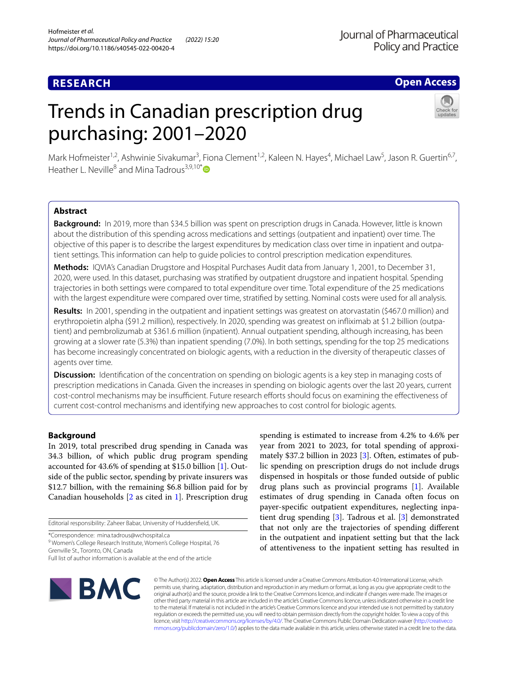# **RESEARCH**

# **Open Access**

# Trends in Canadian prescription drug purchasing: 2001–2020



Mark Hofmeister<sup>1,2</sup>, Ashwinie Sivakumar<sup>3</sup>, Fiona Clement<sup>1,2</sup>, Kaleen N. Hayes<sup>4</sup>, Michael Law<sup>5</sup>, Jason R. Guertin<sup>6,7</sup>, Heather L. Neville<sup>8</sup> and Mina Tadrous<sup>3,9,10[\\*](http://orcid.org/0000-0003-1911-6129)</sup>

# **Abstract**

**Background:** In 2019, more than \$34.5 billion was spent on prescription drugs in Canada. However, little is known about the distribution of this spending across medications and settings (outpatient and inpatient) over time. The objective of this paper is to describe the largest expenditures by medication class over time in inpatient and outpatient settings. This information can help to guide policies to control prescription medication expenditures.

**Methods:** IQVIA's Canadian Drugstore and Hospital Purchases Audit data from January 1, 2001, to December 31, 2020, were used. In this dataset, purchasing was stratifed by outpatient drugstore and inpatient hospital. Spending trajectories in both settings were compared to total expenditure over time. Total expenditure of the 25 medications with the largest expenditure were compared over time, stratifed by setting. Nominal costs were used for all analysis.

**Results:** In 2001, spending in the outpatient and inpatient settings was greatest on atorvastatin (\$467.0 million) and erythropoietin alpha (\$91.2 million), respectively. In 2020, spending was greatest on infiximab at \$1.2 billion (outpatient) and pembrolizumab at \$361.6 million (inpatient). Annual outpatient spending, although increasing, has been growing at a slower rate (5.3%) than inpatient spending (7.0%). In both settings, spending for the top 25 medications has become increasingly concentrated on biologic agents, with a reduction in the diversity of therapeutic classes of agents over time.

**Discussion:** Identification of the concentration on spending on biologic agents is a key step in managing costs of prescription medications in Canada. Given the increases in spending on biologic agents over the last 20 years, current cost-control mechanisms may be insufficient. Future research efforts should focus on examining the effectiveness of current cost-control mechanisms and identifying new approaches to cost control for biologic agents.

# **Background**

In 2019, total prescribed drug spending in Canada was 34.3 billion, of which public drug program spending accounted for 43.6% of spending at \$15.0 billion [\[1\]](#page-6-0). Outside of the public sector, spending by private insurers was \$12.7 billion, with the remaining \$6.8 billion paid for by Canadian households [\[2](#page-6-0) as cited in [1\]](#page-6-1). Prescription drug

Editorial responsibility: Zaheer Babar, University of Huddersfeld, UK.

\*Correspondence: mina.tadrous@wchospital.ca

<sup>9</sup> Women's College Research Institute, Women's College Hospital, 76 Grenville St., Toronto, ON, Canada

spending is estimated to increase from 4.2% to 4.6% per year from 2021 to 2023, for total spending of approximately \$37.2 billion in 2023 [\[3](#page-6-2)]. Often, estimates of public spending on prescription drugs do not include drugs dispensed in hospitals or those funded outside of public drug plans such as provincial programs [[1\]](#page-6-0). Available estimates of drug spending in Canada often focus on payer-specifc outpatient expenditures, neglecting inpatient drug spending [\[3](#page-6-2)]. Tadrous et al. [\[3](#page-6-2)] demonstrated that not only are the trajectories of spending diferent in the outpatient and inpatient setting but that the lack of attentiveness to the inpatient setting has resulted in



© The Author(s) 2022. **Open Access** This article is licensed under a Creative Commons Attribution 4.0 International License, which permits use, sharing, adaptation, distribution and reproduction in any medium or format, as long as you give appropriate credit to the original author(s) and the source, provide a link to the Creative Commons licence, and indicate if changes were made. The images or other third party material in this article are included in the article's Creative Commons licence, unless indicated otherwise in a credit line to the material. If material is not included in the article's Creative Commons licence and your intended use is not permitted by statutory regulation or exceeds the permitted use, you will need to obtain permission directly from the copyright holder. To view a copy of this licence, visit [http://creativecommons.org/licenses/by/4.0/.](http://creativecommons.org/licenses/by/4.0/) The Creative Commons Public Domain Dedication waiver ([http://creativeco](http://creativecommons.org/publicdomain/zero/1.0/) [mmons.org/publicdomain/zero/1.0/](http://creativecommons.org/publicdomain/zero/1.0/)) applies to the data made available in this article, unless otherwise stated in a credit line to the data.

Full list of author information is available at the end of the article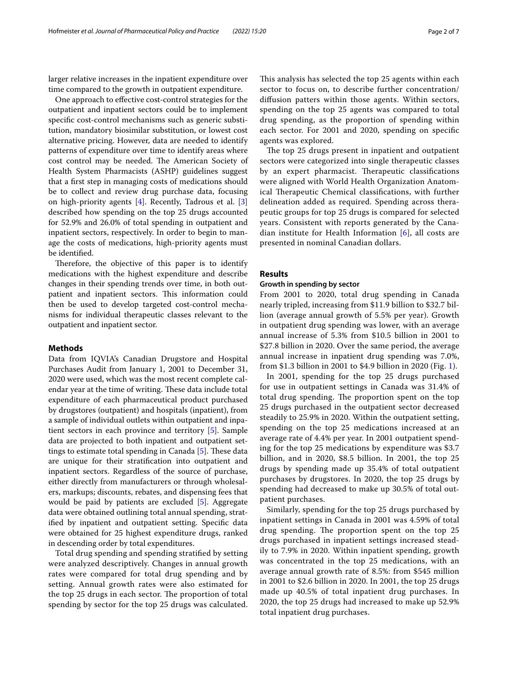larger relative increases in the inpatient expenditure over time compared to the growth in outpatient expenditure.

One approach to efective cost-control strategies for the outpatient and inpatient sectors could be to implement specifc cost-control mechanisms such as generic substitution, mandatory biosimilar substitution, or lowest cost alternative pricing. However, data are needed to identify patterns of expenditure over time to identify areas where cost control may be needed. The American Society of Health System Pharmacists (ASHP) guidelines suggest that a frst step in managing costs of medications should be to collect and review drug purchase data, focusing on high-priority agents  $[4]$  $[4]$ . Recently, Tadrous et al.  $[3]$  $[3]$ described how spending on the top 25 drugs accounted for 52.9% and 26.0% of total spending in outpatient and inpatient sectors, respectively. In order to begin to manage the costs of medications, high-priority agents must be identifed.

Therefore, the objective of this paper is to identify medications with the highest expenditure and describe changes in their spending trends over time, in both outpatient and inpatient sectors. This information could then be used to develop targeted cost-control mechanisms for individual therapeutic classes relevant to the outpatient and inpatient sector.

## **Methods**

Data from IQVIA's Canadian Drugstore and Hospital Purchases Audit from January 1, 2001 to December 31, 2020 were used, which was the most recent complete calendar year at the time of writing. These data include total expenditure of each pharmaceutical product purchased by drugstores (outpatient) and hospitals (inpatient), from a sample of individual outlets within outpatient and inpatient sectors in each province and territory [\[5](#page-6-4)]. Sample data are projected to both inpatient and outpatient set-tings to estimate total spending in Canada [\[5](#page-6-4)]. These data are unique for their stratifcation into outpatient and inpatient sectors. Regardless of the source of purchase, either directly from manufacturers or through wholesalers, markups; discounts, rebates, and dispensing fees that would be paid by patients are excluded [\[5](#page-6-4)]. Aggregate data were obtained outlining total annual spending, stratifed by inpatient and outpatient setting. Specifc data were obtained for 25 highest expenditure drugs, ranked in descending order by total expenditures.

Total drug spending and spending stratifed by setting were analyzed descriptively. Changes in annual growth rates were compared for total drug spending and by setting. Annual growth rates were also estimated for the top 25 drugs in each sector. The proportion of total spending by sector for the top 25 drugs was calculated. This analysis has selected the top 25 agents within each sector to focus on, to describe further concentration/ difusion patters within those agents. Within sectors, spending on the top 25 agents was compared to total drug spending, as the proportion of spending within each sector. For 2001 and 2020, spending on specifc agents was explored.

The top 25 drugs present in inpatient and outpatient sectors were categorized into single therapeutic classes by an expert pharmacist. Therapeutic classifications were aligned with World Health Organization Anatomical Therapeutic Chemical classifications, with further delineation added as required. Spending across therapeutic groups for top 25 drugs is compared for selected years. Consistent with reports generated by the Canadian institute for Health Information [\[6](#page-6-5)], all costs are presented in nominal Canadian dollars.

## **Results**

# **Growth in spending by sector**

From 2001 to 2020, total drug spending in Canada nearly tripled, increasing from \$11.9 billion to \$32.7 billion (average annual growth of 5.5% per year). Growth in outpatient drug spending was lower, with an average annual increase of 5.3% from \$10.5 billion in 2001 to \$27.8 billion in 2020. Over the same period, the average annual increase in inpatient drug spending was 7.0%, from \$1.3 billion in 2001 to \$4.9 billion in 2020 (Fig. [1](#page-2-0)).

In 2001, spending for the top 25 drugs purchased for use in outpatient settings in Canada was 31.4% of total drug spending. The proportion spent on the top 25 drugs purchased in the outpatient sector decreased steadily to 25.9% in 2020. Within the outpatient setting, spending on the top 25 medications increased at an average rate of 4.4% per year. In 2001 outpatient spending for the top 25 medications by expenditure was \$3.7 billion, and in 2020, \$8.5 billion. In 2001, the top 25 drugs by spending made up 35.4% of total outpatient purchases by drugstores. In 2020, the top 25 drugs by spending had decreased to make up 30.5% of total outpatient purchases.

Similarly, spending for the top 25 drugs purchased by inpatient settings in Canada in 2001 was 4.59% of total drug spending. The proportion spent on the top 25 drugs purchased in inpatient settings increased steadily to 7.9% in 2020. Within inpatient spending, growth was concentrated in the top 25 medications, with an average annual growth rate of 8.5%: from \$545 million in 2001 to \$2.6 billion in 2020. In 2001, the top 25 drugs made up 40.5% of total inpatient drug purchases. In 2020, the top 25 drugs had increased to make up 52.9% total inpatient drug purchases.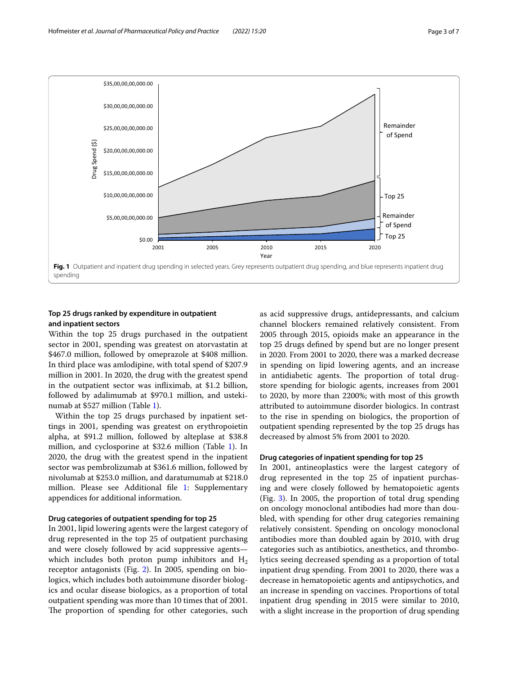

# <span id="page-2-0"></span>**Top 25 drugs ranked by expenditure in outpatient and inpatient sectors**

Within the top 25 drugs purchased in the outpatient sector in 2001, spending was greatest on atorvastatin at \$467.0 million, followed by omeprazole at \$408 million. In third place was amlodipine, with total spend of \$207.9 million in 2001. In 2020, the drug with the greatest spend in the outpatient sector was infiximab, at \$1.2 billion, followed by adalimumab at \$970.1 million, and ustekinumab at \$527 million (Table [1\)](#page-3-0).

Within the top 25 drugs purchased by inpatient settings in 2001, spending was greatest on erythropoietin alpha, at \$91.2 million, followed by alteplase at \$38.8 million, and cyclosporine at \$32.6 million (Table [1](#page-3-0)). In 2020, the drug with the greatest spend in the inpatient sector was pembrolizumab at \$361.6 million, followed by nivolumab at \$253.0 million, and daratumumab at \$218.0 million. Please see Additional fle [1:](#page-6-6) Supplementary appendices for additional information.

# **Drug categories of outpatient spending for top 25**

In 2001, lipid lowering agents were the largest category of drug represented in the top 25 of outpatient purchasing and were closely followed by acid suppressive agents which includes both proton pump inhibitors and  $H<sub>2</sub>$ receptor antagonists (Fig. [2\)](#page-4-0). In 2005, spending on biologics, which includes both autoimmune disorder biologics and ocular disease biologics, as a proportion of total outpatient spending was more than 10 times that of 2001. The proportion of spending for other categories, such as acid suppressive drugs, antidepressants, and calcium channel blockers remained relatively consistent. From 2005 through 2015, opioids make an appearance in the top 25 drugs defned by spend but are no longer present in 2020. From 2001 to 2020, there was a marked decrease in spending on lipid lowering agents, and an increase in antidiabetic agents. The proportion of total drugstore spending for biologic agents, increases from 2001 to 2020, by more than 2200%; with most of this growth attributed to autoimmune disorder biologics. In contrast to the rise in spending on biologics, the proportion of outpatient spending represented by the top 25 drugs has decreased by almost 5% from 2001 to 2020.

### **Drug categories of inpatient spending for top 25**

In 2001, antineoplastics were the largest category of drug represented in the top 25 of inpatient purchasing and were closely followed by hematopoietic agents (Fig. [3](#page-4-1)). In 2005, the proportion of total drug spending on oncology monoclonal antibodies had more than doubled, with spending for other drug categories remaining relatively consistent. Spending on oncology monoclonal antibodies more than doubled again by 2010, with drug categories such as antibiotics, anesthetics, and thrombolytics seeing decreased spending as a proportion of total inpatient drug spending. From 2001 to 2020, there was a decrease in hematopoietic agents and antipsychotics, and an increase in spending on vaccines. Proportions of total inpatient drug spending in 2015 were similar to 2010, with a slight increase in the proportion of drug spending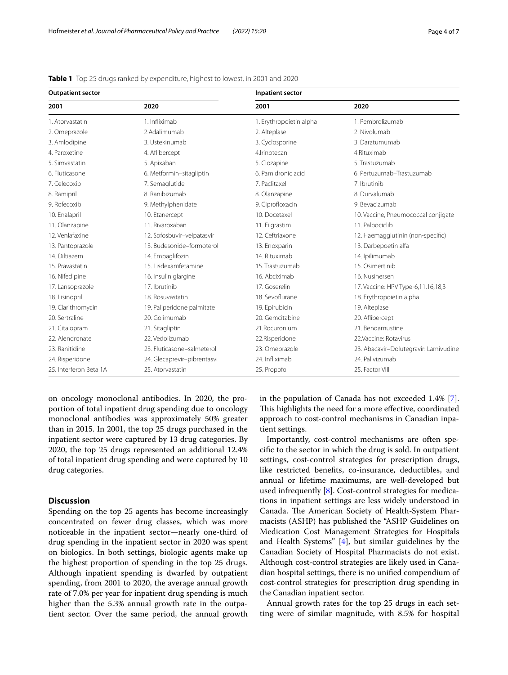| <b>Outpatient sector</b> |                             | Inpatient sector        |                                       |
|--------------------------|-----------------------------|-------------------------|---------------------------------------|
| 2001                     | 2020                        | 2001                    | 2020                                  |
| 1. Atorvastatin          | 1. Infliximab               | 1. Erythropoietin alpha | 1. Pembrolizumab                      |
| 2. Omeprazole            | 2.Adalimumab                | 2. Alteplase            | 2. Nivolumab                          |
| 3. Amlodipine            | 3. Ustekinumab              | 3. Cyclosporine         | 3. Daratumumab                        |
| 4. Paroxetine            | 4. Aflibercept              | 4.Irinotecan            | 4.Rituximab                           |
| 5. Simvastatin           | 5. Apixaban                 | 5. Clozapine            | 5. Trastuzumab                        |
| 6. Fluticasone           | 6. Metformin-sitagliptin    | 6. Pamidronic acid      | 6. Pertuzumab-Trastuzumab             |
| 7. Celecoxib             | 7. Semaglutide              | 7. Paclitaxel           | 7. Ibrutinib                          |
| 8. Ramipril              | 8. Ranibizumab              | 8. Olanzapine           | 8. Durvalumab                         |
| 9. Rofecoxib             | 9. Methylphenidate          | 9. Ciprofloxacin        | 9. Bevacizumab                        |
| 10. Enalapril            | 10. Etanercept              | 10. Docetaxel           | 10. Vaccine, Pneumococcal conjigate   |
| 11. Olanzapine           | 11. Rivaroxaban             | 11. Filgrastim          | 11. Palbociclib                       |
| 12. Venlafaxine          | 12. Sofosbuvir-velpatasvir  | 12. Ceftriaxone         | 12. Haemagglutinin (non-specific)     |
| 13. Pantoprazole         | 13. Budesonide-formoterol   | 13. Enoxparin           | 13. Darbepoetin alfa                  |
| 14. Diltiazem            | 14. Empaglifozin            | 14. Rituximab           | 14. Ipilimumab                        |
| 15. Pravastatin          | 15. Lisdexamfetamine        | 15. Trastuzumab         | 15. Osimertinib                       |
| 16. Nifedipine           | 16. Insulin glargine        | 16. Abciximab           | 16. Nusinersen                        |
| 17. Lansoprazole         | 17. Ibrutinib               | 17. Goserelin           | 17. Vaccine: HPV Type-6,11,16,18,3    |
| 18. Lisinopril           | 18. Rosuvastatin            | 18. Sevoflurane         | 18. Erythropoietin alpha              |
| 19. Clarithromycin       | 19. Paliperidone palmitate  | 19. Epirubicin          | 19. Alteplase                         |
| 20. Sertraline           | 20. Golimumab               | 20. Gemcitabine         | 20. Aflibercept                       |
| 21. Citalopram           | 21. Sitagliptin             | 21. Rocuronium          | 21. Bendamustine                      |
| 22. Alendronate          | 22. Vedolizumab             | 22.Risperidone          | 22. Vaccine: Rotavirus                |
| 23. Ranitidine           | 23. Fluticasone-salmeterol  | 23. Omeprazole          | 23. Abacavir-Dolutegravir: Lamivudine |
| 24. Risperidone          | 24. Glecaprevir-pibrentasvi | 24. Infliximab          | 24. Palivizumab                       |
| 25. Interferon Beta 1A   | 25. Atorvastatin            | 25. Propofol            | 25. Factor VIII                       |

<span id="page-3-0"></span>**Table 1** Top 25 drugs ranked by expenditure, highest to lowest, in 2001 and 2020

on oncology monoclonal antibodies. In 2020, the proportion of total inpatient drug spending due to oncology monoclonal antibodies was approximately 50% greater than in 2015. In 2001, the top 25 drugs purchased in the inpatient sector were captured by 13 drug categories. By 2020, the top 25 drugs represented an additional 12.4% of total inpatient drug spending and were captured by 10 drug categories.

# **Discussion**

Spending on the top 25 agents has become increasingly concentrated on fewer drug classes, which was more noticeable in the inpatient sector—nearly one-third of drug spending in the inpatient sector in 2020 was spent on biologics. In both settings, biologic agents make up the highest proportion of spending in the top 25 drugs. Although inpatient spending is dwarfed by outpatient spending, from 2001 to 2020, the average annual growth rate of 7.0% per year for inpatient drug spending is much higher than the 5.3% annual growth rate in the outpatient sector. Over the same period, the annual growth in the population of Canada has not exceeded 1.4% [\[7](#page-6-7)]. This highlights the need for a more effective, coordinated approach to cost-control mechanisms in Canadian inpatient settings.

Importantly, cost-control mechanisms are often specifc to the sector in which the drug is sold. In outpatient settings, cost-control strategies for prescription drugs, like restricted benefts, co-insurance, deductibles, and annual or lifetime maximums, are well-developed but used infrequently [\[8](#page-6-8)]. Cost-control strategies for medications in inpatient settings are less widely understood in Canada. The American Society of Health-System Pharmacists (ASHP) has published the "ASHP Guidelines on Medication Cost Management Strategies for Hospitals and Health Systems" [\[4](#page-6-3)], but similar guidelines by the Canadian Society of Hospital Pharmacists do not exist. Although cost-control strategies are likely used in Canadian hospital settings, there is no unifed compendium of cost-control strategies for prescription drug spending in the Canadian inpatient sector.

Annual growth rates for the top 25 drugs in each setting were of similar magnitude, with 8.5% for hospital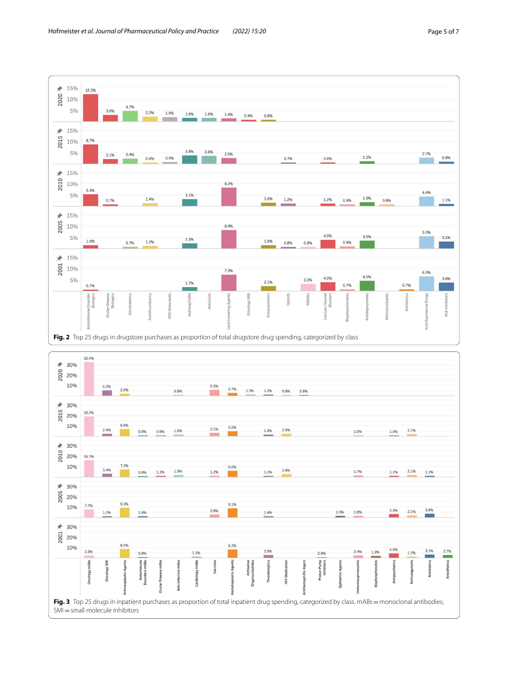

<span id="page-4-1"></span><span id="page-4-0"></span>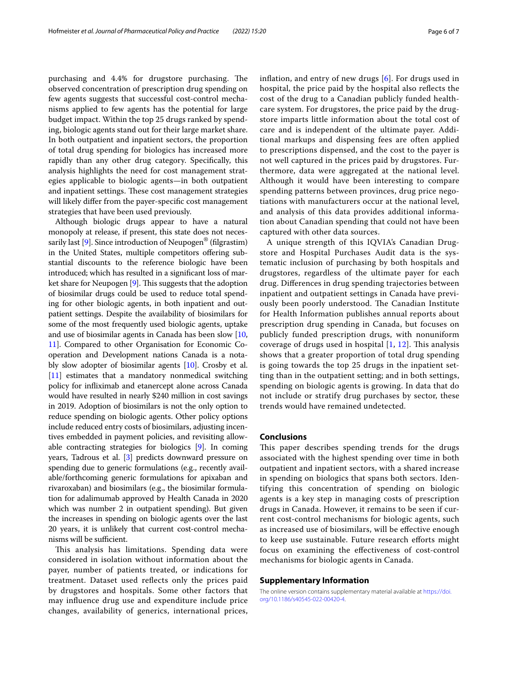purchasing and 4.4% for drugstore purchasing. The observed concentration of prescription drug spending on few agents suggests that successful cost-control mechanisms applied to few agents has the potential for large budget impact. Within the top 25 drugs ranked by spending, biologic agents stand out for their large market share. In both outpatient and inpatient sectors, the proportion of total drug spending for biologics has increased more rapidly than any other drug category. Specifcally, this analysis highlights the need for cost management strategies applicable to biologic agents—in both outpatient and inpatient settings. These cost management strategies will likely difer from the payer-specifc cost management strategies that have been used previously.

Although biologic drugs appear to have a natural monopoly at release, if present, this state does not neces-sarily last [\[9\]](#page-6-9). Since introduction of Neupogen<sup>®</sup> (filgrastim) in the United States, multiple competitors offering substantial discounts to the reference biologic have been introduced; which has resulted in a signifcant loss of market share for Neupogen  $[9]$ . This suggests that the adoption of biosimilar drugs could be used to reduce total spending for other biologic agents, in both inpatient and outpatient settings. Despite the availability of biosimilars for some of the most frequently used biologic agents, uptake and use of biosimilar agents in Canada has been slow [[10](#page-6-10), [11](#page-6-11)]. Compared to other Organisation for Economic Cooperation and Development nations Canada is a notably slow adopter of biosimilar agents [\[10](#page-6-10)]. Crosby et al. [[11](#page-6-11)] estimates that a mandatory nonmedical switching policy for infiximab and etanercept alone across Canada would have resulted in nearly \$240 million in cost savings in 2019. Adoption of biosimilars is not the only option to reduce spending on biologic agents. Other policy options include reduced entry costs of biosimilars, adjusting incentives embedded in payment policies, and revisiting allowable contracting strategies for biologics [[9\]](#page-6-9). In coming years, Tadrous et al. [[3\]](#page-6-2) predicts downward pressure on spending due to generic formulations (e.g., recently available/forthcoming generic formulations for apixaban and rivaroxaban) and biosimilars (e.g., the biosimilar formulation for adalimumab approved by Health Canada in 2020 which was number 2 in outpatient spending). But given the increases in spending on biologic agents over the last 20 years, it is unlikely that current cost-control mechanisms will be sufficient.

This analysis has limitations. Spending data were considered in isolation without information about the payer, number of patients treated, or indications for treatment. Dataset used refects only the prices paid by drugstores and hospitals. Some other factors that may infuence drug use and expenditure include price changes, availability of generics, international prices, infation, and entry of new drugs [[6\]](#page-6-5). For drugs used in hospital, the price paid by the hospital also refects the cost of the drug to a Canadian publicly funded healthcare system. For drugstores, the price paid by the drugstore imparts little information about the total cost of care and is independent of the ultimate payer. Additional markups and dispensing fees are often applied to prescriptions dispensed, and the cost to the payer is not well captured in the prices paid by drugstores. Furthermore, data were aggregated at the national level. Although it would have been interesting to compare spending patterns between provinces, drug price negotiations with manufacturers occur at the national level, and analysis of this data provides additional information about Canadian spending that could not have been captured with other data sources.

A unique strength of this IQVIA's Canadian Drugstore and Hospital Purchases Audit data is the systematic inclusion of purchasing by both hospitals and drugstores, regardless of the ultimate payer for each drug. Diferences in drug spending trajectories between inpatient and outpatient settings in Canada have previously been poorly understood. The Canadian Institute for Health Information publishes annual reports about prescription drug spending in Canada, but focuses on publicly funded prescription drugs, with nonuniform coverage of drugs used in hospital  $[1, 12]$  $[1, 12]$  $[1, 12]$ . This analysis shows that a greater proportion of total drug spending is going towards the top 25 drugs in the inpatient setting than in the outpatient setting; and in both settings, spending on biologic agents is growing. In data that do not include or stratify drug purchases by sector, these trends would have remained undetected.

# **Conclusions**

This paper describes spending trends for the drugs associated with the highest spending over time in both outpatient and inpatient sectors, with a shared increase in spending on biologics that spans both sectors. Identifying this concentration of spending on biologic agents is a key step in managing costs of prescription drugs in Canada. However, it remains to be seen if current cost-control mechanisms for biologic agents, such as increased use of biosimilars, will be efective enough to keep use sustainable. Future research efforts might focus on examining the efectiveness of cost-control mechanisms for biologic agents in Canada.

#### **Supplementary Information**

The online version contains supplementary material available at [https://doi.](https://doi.org/10.1186/s40545-022-00420-4) [org/10.1186/s40545-022-00420-4](https://doi.org/10.1186/s40545-022-00420-4).